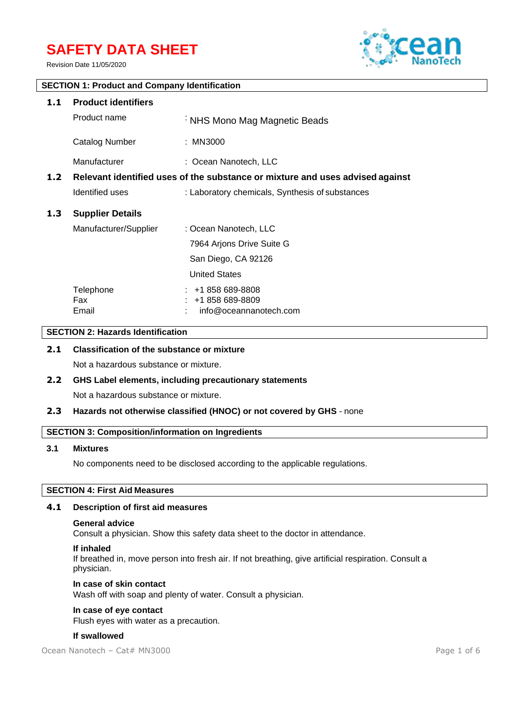# **SAFETY DATA SHEET**

Revision Date 11/05/2020



# **SECTION 1: Product and Company Identification 1.1 Product identifiers** Product name : NHS Mono Mag Magnetic Beads Catalog Number : MN3000 Manufacturer : Coean Nanotech, LLC **1.2 Relevant identified uses of the substance or mixture and uses advised against** Identified uses : Laboratory chemicals, Synthesis of substances **1.3 Supplier Details** Manufacturer/Supplier : Ocean Nanotech, LLC 7964 Arjons Drive Suite G San Diego, CA 92126 United States Telephone : +1 858 689-8808 Fax : +1 858 689-8809 Email : info@oceannanotech.com

# **SECTION 2: Hazards Identification**

# **2.1 Classification of the substance or mixture**

Not a hazardous substance or mixture.

# **2.2 GHS Label elements, including precautionary statements** Not a hazardous substance or mixture.

## **2.3 Hazards not otherwise classified (HNOC) or not covered by GHS** - none

## **SECTION 3: Composition/information on Ingredients**

#### **3.1 Mixtures**

No components need to be disclosed according to the applicable regulations.

# **SECTION 4: First Aid Measures**

#### **4.1 Description of first aid measures**

#### **General advice**

Consult a physician. Show this safety data sheet to the doctor in attendance.

#### **If inhaled**

If breathed in, move person into fresh air. If not breathing, give artificial respiration. Consult a physician.

# **In case of skin contact**

Wash off with soap and plenty of water. Consult a physician.

# **In case of eye contact**

Flush eyes with water as a precaution.

#### **If swallowed**

Ocean Nanotech – Cat# MN3000 Page 1 of 6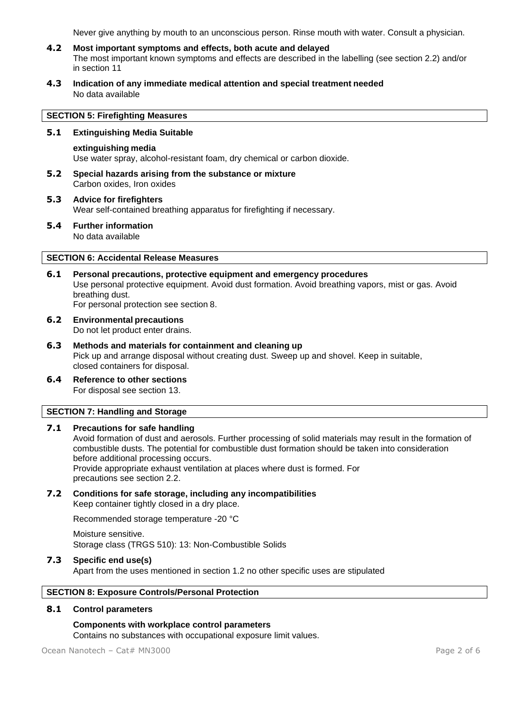Never give anything by mouth to an unconscious person. Rinse mouth with water. Consult a physician.

- **4.2 Most important symptoms and effects, both acute and delayed** The most important known symptoms and effects are described in the labelling (see section 2.2) and/or in section 11
- **4.3 Indication of any immediate medical attention and special treatment needed** No data available

## **SECTION 5: Firefighting Measures**

## **5.1 Extinguishing Media Suitable**

#### **extinguishing media**

Use water spray, alcohol-resistant foam, dry chemical or carbon dioxide.

- **5.2 Special hazards arising from the substance or mixture** Carbon oxides, Iron oxides
- **5.3 Advice for firefighters** Wear self-contained breathing apparatus for firefighting if necessary.
- **5.4 Further information** No data available

## **SECTION 6: Accidental Release Measures**

- **6.1 Personal precautions, protective equipment and emergency procedures** Use personal protective equipment. Avoid dust formation. Avoid breathing vapors, mist or gas. Avoid breathing dust. For personal protection see section 8.
- **6.2 Environmental precautions** Do not let product enter drains.
- **6.3 Methods and materials for containment and cleaning up** Pick up and arrange disposal without creating dust. Sweep up and shovel. Keep in suitable, closed containers for disposal.
- **6.4 Reference to other sections** For disposal see section 13.

# **SECTION 7: Handling and Storage**

#### **7.1 Precautions for safe handling**

Avoid formation of dust and aerosols. Further processing of solid materials may result in the formation of combustible dusts. The potential for combustible dust formation should be taken into consideration before additional processing occurs. Provide appropriate exhaust ventilation at places where dust is formed. For precautions see section 2.2.

#### **7.2 Conditions for safe storage, including any incompatibilities** Keep container tightly closed in a dry place.

Recommended storage temperature -20 °C

Moisture sensitive. Storage class (TRGS 510): 13: Non-Combustible Solids

#### **7.3 Specific end use(s)**

Apart from the uses mentioned in section 1.2 no other specific uses are stipulated

## **SECTION 8: Exposure Controls/Personal Protection**

# **8.1 Control parameters**

# **Components with workplace control parameters**

Contains no substances with occupational exposure limit values.

Ocean Nanotech – Cat# MN3000 Page 2 of 6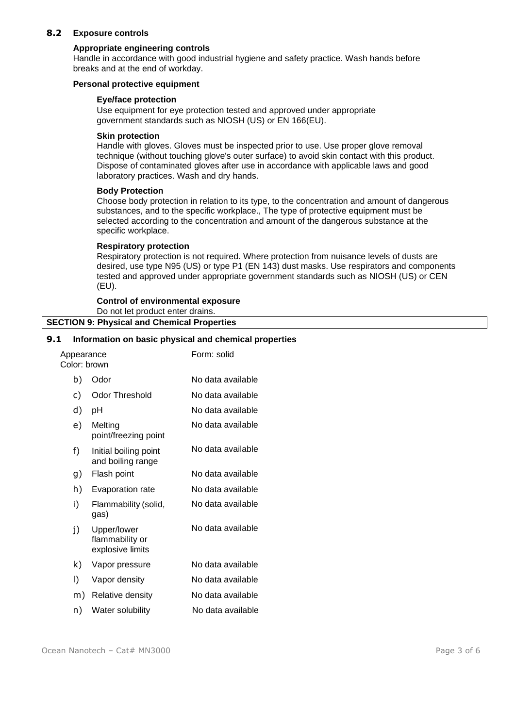# **8.2 Exposure controls**

#### **Appropriate engineering controls**

Handle in accordance with good industrial hygiene and safety practice. Wash hands before breaks and at the end of workday.

#### **Personal protective equipment**

## **Eye/face protection**

Use equipment for eye protection tested and approved under appropriate government standards such as NIOSH (US) or EN 166(EU).

#### **Skin protection**

Handle with gloves. Gloves must be inspected prior to use. Use proper glove removal technique (without touching glove's outer surface) to avoid skin contact with this product. Dispose of contaminated gloves after use in accordance with applicable laws and good laboratory practices. Wash and dry hands.

## **Body Protection**

Choose body protection in relation to its type, to the concentration and amount of dangerous substances, and to the specific workplace., The type of protective equipment must be selected according to the concentration and amount of the dangerous substance at the specific workplace.

#### **Respiratory protection**

Respiratory protection is not required. Where protection from nuisance levels of dusts are desired, use type N95 (US) or type P1 (EN 143) dust masks. Use respirators and components tested and approved under appropriate government standards such as NIOSH (US) or CEN (EU).

#### **Control of environmental exposure** Do not let product enter drains. **SECTION 9: Physical and Chemical Properties**

# **9.1 Information on basic physical and chemical properties**

| Appearance<br>Color: brown |                                                    | Form: solid       |
|----------------------------|----------------------------------------------------|-------------------|
| b)                         | Odor                                               | No data available |
| c)                         | <b>Odor Threshold</b>                              | No data available |
| d)                         | pH                                                 | No data available |
| e)                         | Melting<br>point/freezing point                    | No data available |
| f)                         | Initial boiling point<br>and boiling range         | No data available |
| g)                         | Flash point                                        | No data available |
| h)                         | Evaporation rate                                   | No data available |
| i)                         | Flammability (solid,<br>gas)                       | No data available |
| j)                         | Upper/lower<br>flammability or<br>explosive limits | No data available |
| k)                         | Vapor pressure                                     | No data available |
| I)                         | Vapor density                                      | No data available |
| m)                         | Relative density                                   | No data available |
| n)                         | Water solubility                                   | No data available |
|                            |                                                    |                   |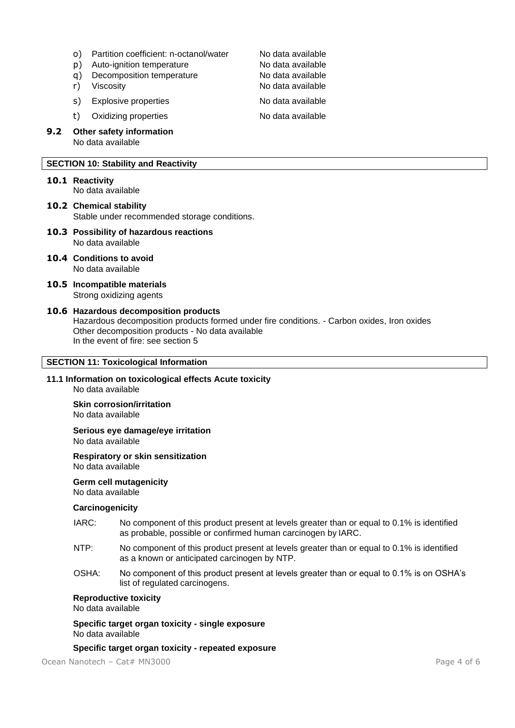- o) Partition coefficient: n-octanol/water Mo data available<br>
n) Auto-ignition temperature No data available
- p) Auto-ignition temperature
- q) Decomposition temperature No data available
- 
- s) Explosive properties No data available

t) Oxidizing properties No data available

**9.2 Other safety information** No data available

# **SECTION 10: Stability and Reactivity**

**10.1 Reactivity**

No data available

**10.2 Chemical stability** Stable under recommended storage conditions.

- **10.3 Possibility of hazardous reactions** No data available
- **10.4 Conditions to avoid** No data available
- **10.5 Incompatible materials** Strong oxidizing agents
- **10.6 Hazardous decomposition products** Hazardous decomposition products formed under fire conditions. - Carbon oxides, Iron oxides Other decomposition products - No data available In the event of fire: see section 5

# **SECTION 11: Toxicological Information**

**11.1 Information on toxicological effects Acute toxicity** No data available

**Skin corrosion/irritation**

No data available

**Serious eye damage/eye irritation** No data available

**Respiratory or skin sensitization** No data available

**Germ cell mutagenicity**

No data available

# **Carcinogenicity**

- IARC: No component of this product present at levels greater than or equal to 0.1% is identified as probable, possible or confirmed human carcinogen by IARC.
- NTP: No component of this product present at levels greater than or equal to 0.1% is identified as a known or anticipated carcinogen by NTP.
- OSHA: No component of this product present at levels greater than or equal to 0.1% is on OSHA's list of regulated carcinogens.

# **Reproductive toxicity**

No data available

**Specific target organ toxicity - single exposure** No data available

# **Specific target organ toxicity - repeated exposure**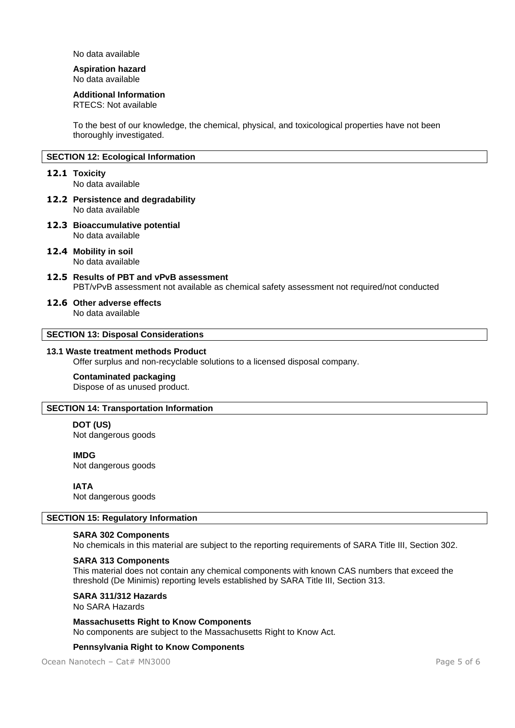No data available

# **Aspiration hazard**

No data available

#### **Additional Information**

RTECS: Not available

To the best of our knowledge, the chemical, physical, and toxicological properties have not been thoroughly investigated.

# **SECTION 12: Ecological Information**

#### **12.1 Toxicity**

No data available

- **12.2 Persistence and degradability** No data available
- **12.3 Bioaccumulative potential** No data available
- **12.4 Mobility in soil** No data available
- **12.5 Results of PBT and vPvB assessment** PBT/vPvB assessment not available as chemical safety assessment not required/not conducted

#### **12.6 Other adverse effects**

No data available

# **SECTION 13: Disposal Considerations**

#### **13.1 Waste treatment methods Product**

Offer surplus and non-recyclable solutions to a licensed disposal company.

#### **Contaminated packaging**

Dispose of as unused product.

#### **SECTION 14: Transportation Information**

# **DOT (US)**

Not dangerous goods

## **IMDG**

Not dangerous goods

# **IATA**

Not dangerous goods

#### **SECTION 15: Regulatory Information**

# **SARA 302 Components**

No chemicals in this material are subject to the reporting requirements of SARA Title III, Section 302.

#### **SARA 313 Components**

This material does not contain any chemical components with known CAS numbers that exceed the threshold (De Minimis) reporting levels established by SARA Title III, Section 313.

**SARA 311/312 Hazards**

No SARA Hazards

**Massachusetts Right to Know Components** No components are subject to the Massachusetts Right to Know Act.

#### **Pennsylvania Right to Know Components**